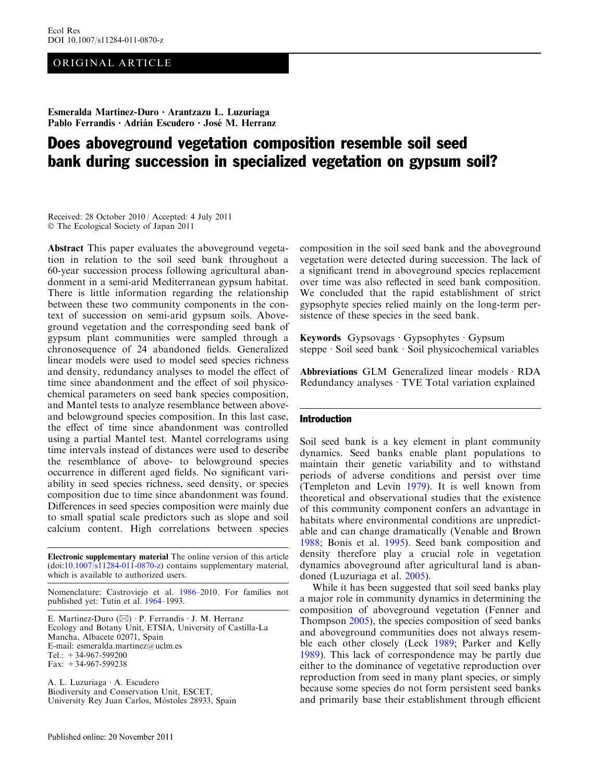# ORIGINAL ARTICLE

Esmeralda Martinez-Duro • Arantzazu L. Luzuriaga Pablo Ferrandis • Adrián Escudero • José M. Herranz

# Does aboveground vegetation composition resemble soil seed bank during succession in specialized vegetation on gypsum soil?

Received: 28 October 2010 / Accepted: 4 July 2011 - The Ecological Society of Japan 2011

Abstract This paper evaluates the aboveground vegetation in relation to the soil seed bank throughout a 60-year succession process following agricultural abandonment in a semi-arid Mediterranean gypsum habitat. There is little information regarding the relationship between these two community components in the context of succession on semi-arid gypsum soils. Aboveground vegetation and the corresponding seed bank of gypsum plant communities were sampled through a chronosequence of 24 abandoned fields. Generalized linear models were used to model seed species richness and density, redundancy analyses to model the effect of time since abandonment and the effect of soil physicochemical parameters on seed bank species composition, and Mantel tests to analyze resemblance between aboveand belowground species composition. In this last case, the effect of time since abandonment was controlled using a partial Mantel test. Mantel correlograms using time intervals instead of distances were used to describe the resemblance of above- to belowground species occurrence in different aged fields. No significant variability in seed species richness, seed density, or species composition due to time since abandonment was found. Differences in seed species composition were mainly due to small spatial scale predictors such as slope and soil calcium content. High correlations between species

Electronic supplementary material The online version of this article  $(doi:10.1007/s11284-011-0870-z)$  $(doi:10.1007/s11284-011-0870-z)$  $(doi:10.1007/s11284-011-0870-z)$  contains supplementary material, which is available to authorized users.

Nomenclature: Castroviejo et al. [1986](#page-7-0)–2010. For families not published yet: Tutin et al. [1964](#page-8-0)–1993.

E. Martinez-Duro  $(\boxtimes) \cdot$  P. Ferrandis  $\cdot$  J. M. Herranz Ecology and Botany Unit, ETSIA, University of Castilla-La Mancha, Albacete 02071, Spain E-mail: esmeralda.martinez@uclm.es Tel.:  $+34-967-599200$ Fax: +34-967-599238

A. L. Luzuriaga · A. Escudero Biodiversity and Conservation Unit, ESCET, University Rey Juan Carlos, Móstoles 28933, Spain composition in the soil seed bank and the aboveground vegetation were detected during succession. The lack of a significant trend in aboveground species replacement over time was also reflected in seed bank composition. We concluded that the rapid establishment of strict gypsophyte species relied mainly on the long-term persistence of these species in the seed bank.

Keywords Gypsovags  $\cdot$  Gypsophytes  $\cdot$  Gypsum steppe · Soil seed bank · Soil physicochemical variables

Abbreviations GLM Generalized linear models  $\cdot$  RDA Redundancy analyses  $\cdot$  TVE Total variation explained

#### Introduction

Soil seed bank is a key element in plant community dynamics. Seed banks enable plant populations to maintain their genetic variability and to withstand periods of adverse conditions and persist over time (Templeton and Levin [1979](#page-8-0)). It is well known from theoretical and observational studies that the existence of this community component confers an advantage in habitats where environmental conditions are unpredictable and can change dramatically (Venable and Brown [1988;](#page-8-0) Bonis et al. [1995](#page-7-0)). Seed bank composition and density therefore play a crucial role in vegetation dynamics aboveground after agricultural land is abandoned (Luzuriaga et al. [2005](#page-8-0)).

While it has been suggested that soil seed banks play a major role in community dynamics in determining the composition of aboveground vegetation (Fenner and Thompson [2005\)](#page-7-0), the species composition of seed banks and aboveground communities does not always resemble each other closely (Leck [1989](#page-7-0); Parker and Kelly [1989\)](#page-8-0). This lack of correspondence may be partly due either to the dominance of vegetative reproduction over reproduction from seed in many plant species, or simply because some species do not form persistent seed banks and primarily base their establishment through efficient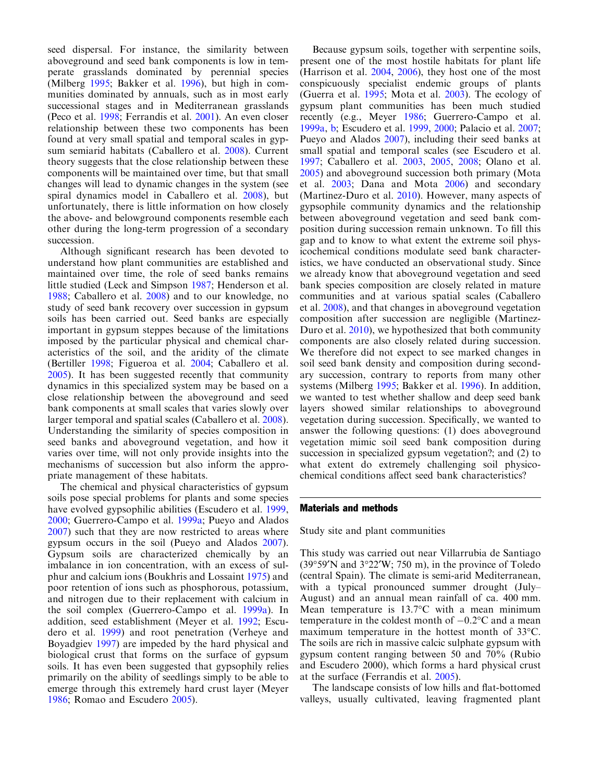seed dispersal. For instance, the similarity between aboveground and seed bank components is low in temperate grasslands dominated by perennial species (Milberg [1995](#page-8-0); Bakker et al. [1996](#page-7-0)), but high in communities dominated by annuals, such as in most early successional stages and in Mediterranean grasslands (Peco et al. [1998;](#page-8-0) Ferrandis et al. [2001\)](#page-7-0). An even closer relationship between these two components has been found at very small spatial and temporal scales in gypsum semiarid habitats (Caballero et al. [2008](#page-7-0)). Current theory suggests that the close relationship between these components will be maintained over time, but that small changes will lead to dynamic changes in the system (see spiral dynamics model in Caballero et al. [2008](#page-7-0)), but unfortunately, there is little information on how closely the above- and belowground components resemble each other during the long-term progression of a secondary succession.

Although significant research has been devoted to understand how plant communities are established and maintained over time, the role of seed banks remains little studied (Leck and Simpson [1987;](#page-8-0) Henderson et al. [1988](#page-7-0); Caballero et al. [2008](#page-7-0)) and to our knowledge, no study of seed bank recovery over succession in gypsum soils has been carried out. Seed banks are especially important in gypsum steppes because of the limitations imposed by the particular physical and chemical characteristics of the soil, and the aridity of the climate (Bertiller [1998](#page-7-0); Figueroa et al. [2004](#page-7-0); Caballero et al. [2005](#page-7-0)). It has been suggested recently that community dynamics in this specialized system may be based on a close relationship between the aboveground and seed bank components at small scales that varies slowly over larger temporal and spatial scales (Caballero et al. [2008\)](#page-7-0). Understanding the similarity of species composition in seed banks and aboveground vegetation, and how it varies over time, will not only provide insights into the mechanisms of succession but also inform the appropriate management of these habitats.

The chemical and physical characteristics of gypsum soils pose special problems for plants and some species have evolved gypsophilic abilities (Escudero et al. [1999](#page-7-0), [2000](#page-7-0); Guerrero-Campo et al. [1999a;](#page-7-0) Pueyo and Alados [2007](#page-8-0)) such that they are now restricted to areas where gypsum occurs in the soil (Pueyo and Alados [2007\)](#page-8-0). Gypsum soils are characterized chemically by an imbalance in ion concentration, with an excess of sulphur and calcium ions (Boukhris and Lossaint [1975\)](#page-7-0) and poor retention of ions such as phosphorous, potassium, and nitrogen due to their replacement with calcium in the soil complex (Guerrero-Campo et al. [1999a](#page-7-0)). In addition, seed establishment (Meyer et al. [1992;](#page-8-0) Escudero et al. [1999](#page-7-0)) and root penetration (Verheye and Boyadgiev [1997\)](#page-8-0) are impeded by the hard physical and biological crust that forms on the surface of gypsum soils. It has even been suggested that gypsophily relies primarily on the ability of seedlings simply to be able to emerge through this extremely hard crust layer (Meyer [1986](#page-8-0); Romao and Escudero [2005](#page-8-0)).

Because gypsum soils, together with serpentine soils, present one of the most hostile habitats for plant life (Harrison et al. [2004,](#page-7-0) [2006](#page-7-0)), they host one of the most conspicuously specialist endemic groups of plants (Guerra et al. [1995;](#page-7-0) Mota et al. [2003](#page-8-0)). The ecology of gypsum plant communities has been much studied recently (e.g., Meyer [1986;](#page-8-0) Guerrero-Campo et al. [1999a,](#page-7-0) [b;](#page-7-0) Escudero et al. [1999](#page-7-0), [2000](#page-7-0); Palacio et al. [2007](#page-8-0); Pueyo and Alados [2007\)](#page-8-0), including their seed banks at small spatial and temporal scales (see Escudero et al. [1997;](#page-7-0) Caballero et al. [2003,](#page-7-0) [2005,](#page-7-0) [2008;](#page-7-0) Olano et al. [2005\)](#page-8-0) and aboveground succession both primary (Mota et al. [2003;](#page-8-0) Dana and Mota [2006](#page-7-0)) and secondary (Martinez-Duro et al. [2010\)](#page-8-0). However, many aspects of gypsophile community dynamics and the relationship between aboveground vegetation and seed bank composition during succession remain unknown. To fill this gap and to know to what extent the extreme soil physicochemical conditions modulate seed bank characteristics, we have conducted an observational study. Since we already know that aboveground vegetation and seed bank species composition are closely related in mature communities and at various spatial scales (Caballero et al. [2008](#page-7-0)), and that changes in aboveground vegetation composition after succession are negligible (Martinez-Duro et al. [2010](#page-8-0)), we hypothesized that both community components are also closely related during succession. We therefore did not expect to see marked changes in soil seed bank density and composition during secondary succession, contrary to reports from many other systems (Milberg [1995;](#page-8-0) Bakker et al. [1996](#page-7-0)). In addition, we wanted to test whether shallow and deep seed bank layers showed similar relationships to aboveground vegetation during succession. Specifically, we wanted to answer the following questions: (1) does aboveground vegetation mimic soil seed bank composition during succession in specialized gypsum vegetation?; and (2) to what extent do extremely challenging soil physicochemical conditions affect seed bank characteristics?

#### Materials and methods

Study site and plant communities

This study was carried out near Villarrubia de Santiago  $(39°59'N$  and  $3°22'W$ ; 750 m), in the province of Toledo (central Spain). The climate is semi-arid Mediterranean, with a typical pronounced summer drought (July– August) and an annual mean rainfall of ca. 400 mm. Mean temperature is  $13.7^{\circ}$ C with a mean minimum temperature in the coldest month of  $-0.2$ °C and a mean maximum temperature in the hottest month of  $33^{\circ}$ C. The soils are rich in massive calcic sulphate gypsum with gypsum content ranging between 50 and 70% (Rubio and Escudero 2000), which forms a hard physical crust at the surface (Ferrandis et al. [2005](#page-7-0)).

The landscape consists of low hills and flat-bottomed valleys, usually cultivated, leaving fragmented plant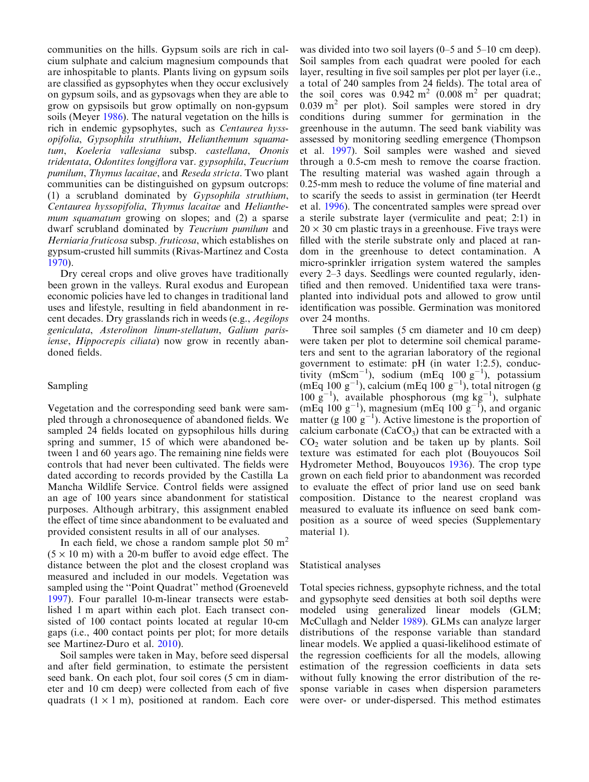communities on the hills. Gypsum soils are rich in calcium sulphate and calcium magnesium compounds that are inhospitable to plants. Plants living on gypsum soils are classified as gypsophytes when they occur exclusively on gypsum soils, and as gypsovags when they are able to grow on gypsisoils but grow optimally on non-gypsum soils (Meyer [1986](#page-8-0)). The natural vegetation on the hills is rich in endemic gypsophytes, such as Centaurea hyssopifolia, Gypsophila struthium, Helianthemum squamatum, Koeleria vallesiana subsp. castellana, Ononis tridentata, Odontites longiflora var. gypsophila, Teucrium pumilum, Thymus lacaitae, and Reseda stricta. Two plant communities can be distinguished on gypsum outcrops: (1) a scrubland dominated by Gypsophila struthium, Centaurea hyssopifolia, Thymus lacaitae and Helianthemum *squamatum* growing on slopes; and (2) a sparse dwarf scrubland dominated by Teucrium pumilum and Herniaria fruticosa subsp. fruticosa, which establishes on gypsum-crusted hill summits (Rivas-Martínez and Costa [1970](#page-8-0)).

Dry cereal crops and olive groves have traditionally been grown in the valleys. Rural exodus and European economic policies have led to changes in traditional land uses and lifestyle, resulting in field abandonment in recent decades. Dry grasslands rich in weeds (e.g., Aegilops geniculata, Asterolinon linum-stellatum, Galium parisiense, Hippocrepis ciliata) now grow in recently abandoned fields.

## Sampling

Vegetation and the corresponding seed bank were sampled through a chronosequence of abandoned fields. We sampled 24 fields located on gypsophilous hills during spring and summer, 15 of which were abandoned between 1 and 60 years ago. The remaining nine fields were controls that had never been cultivated. The fields were dated according to records provided by the Castilla La Mancha Wildlife Service. Control fields were assigned an age of 100 years since abandonment for statistical purposes. Although arbitrary, this assignment enabled the effect of time since abandonment to be evaluated and provided consistent results in all of our analyses.

In each field, we chose a random sample plot  $50 \text{ m}^2$  $(5 \times 10 \text{ m})$  with a 20-m buffer to avoid edge effect. The distance between the plot and the closest cropland was measured and included in our models. Vegetation was sampled using the ''Point Quadrat'' method (Groeneveld [1997](#page-7-0)). Four parallel 10-m-linear transects were established 1 m apart within each plot. Each transect consisted of 100 contact points located at regular 10-cm gaps (i.e., 400 contact points per plot; for more details see Martinez-Duro et al. [2010\)](#page-8-0).

Soil samples were taken in May, before seed dispersal and after field germination, to estimate the persistent seed bank. On each plot, four soil cores (5 cm in diameter and 10 cm deep) were collected from each of five quadrats  $(1 \times 1 \text{ m})$ , positioned at random. Each core

was divided into two soil layers (0–5 and 5–10 cm deep). Soil samples from each quadrat were pooled for each layer, resulting in five soil samples per plot per layer (i.e., a total of 240 samples from 24 fields). The total area of the soil cores was  $0.942 \text{ m}^2$  (0.008 m<sup>2</sup> per quadrat;  $0.039$  m<sup>2</sup> per plot). Soil samples were stored in dry conditions during summer for germination in the greenhouse in the autumn. The seed bank viability was assessed by monitoring seedling emergence (Thompson et al. [1997](#page-8-0)). Soil samples were washed and sieved through a 0.5-cm mesh to remove the coarse fraction. The resulting material was washed again through a 0.25-mm mesh to reduce the volume of fine material and to scarify the seeds to assist in germination (ter Heerdt et al. [1996](#page-8-0)). The concentrated samples were spread over a sterile substrate layer (vermiculite and peat; 2:1) in  $20 \times 30$  cm plastic travs in a greenhouse. Five travs were filled with the sterile substrate only and placed at random in the greenhouse to detect contamination. A micro-sprinkler irrigation system watered the samples every 2–3 days. Seedlings were counted regularly, identified and then removed. Unidentified taxa were transplanted into individual pots and allowed to grow until identification was possible. Germination was monitored over 24 months.

Three soil samples (5 cm diameter and 10 cm deep) were taken per plot to determine soil chemical parameters and sent to the agrarian laboratory of the regional government to estimate: pH (in water 1:2.5), conductivity  $(mScm^{-1})$ , sodium  $(mEq 100 g^{-1})$ , potassium  $(mEq 100 g<sup>-1</sup>)$ , calcium  $(mEq 100 g<sup>-1</sup>)$ , total nitrogen (g 100  $g^{-1}$ ), available phosphorous (mg kg<sup>-1</sup>), sulphate  $(mEq 100 g<sup>-1</sup>)$ , magnesium  $(mEq 100 g<sup>-1</sup>)$ , and organic matter (g  $100~g^{-1}$ ). Active limestone is the proportion of calcium carbonate  $(CaCO<sub>3</sub>)$  that can be extracted with a  $CO<sub>2</sub>$  water solution and be taken up by plants. Soil texture was estimated for each plot (Bouyoucos Soil Hydrometer Method, Bouyoucos [1936](#page-7-0)). The crop type grown on each field prior to abandonment was recorded to evaluate the effect of prior land use on seed bank composition. Distance to the nearest cropland was measured to evaluate its influence on seed bank composition as a source of weed species (Supplementary material 1).

#### Statistical analyses

Total species richness, gypsophyte richness, and the total and gypsophyte seed densities at both soil depths were modeled using generalized linear models (GLM; McCullagh and Nelder [1989](#page-8-0)). GLMs can analyze larger distributions of the response variable than standard linear models. We applied a quasi-likelihood estimate of the regression coefficients for all the models, allowing estimation of the regression coefficients in data sets without fully knowing the error distribution of the response variable in cases when dispersion parameters were over- or under-dispersed. This method estimates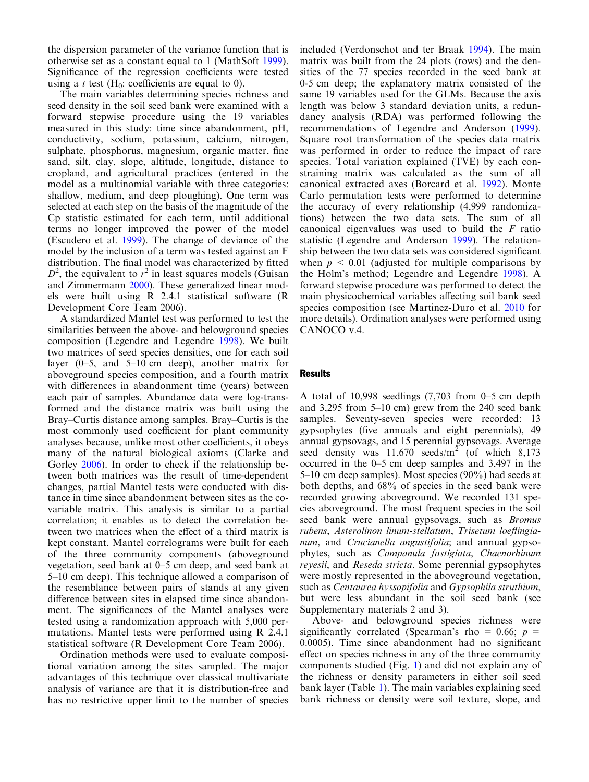the dispersion parameter of the variance function that is otherwise set as a constant equal to 1 (MathSoft [1999\)](#page-8-0). Significance of the regression coefficients were tested using a t test  $(H_0:$  coefficients are equal to 0).

The main variables determining species richness and seed density in the soil seed bank were examined with a forward stepwise procedure using the 19 variables measured in this study: time since abandonment, pH, conductivity, sodium, potassium, calcium, nitrogen, sulphate, phosphorus, magnesium, organic matter, fine sand, silt, clay, slope, altitude, longitude, distance to cropland, and agricultural practices (entered in the model as a multinomial variable with three categories: shallow, medium, and deep ploughing). One term was selected at each step on the basis of the magnitude of the Cp statistic estimated for each term, until additional terms no longer improved the power of the model (Escudero et al. [1999\)](#page-7-0). The change of deviance of the model by the inclusion of a term was tested against an F distribution. The final model was characterized by fitted  $D^2$ , the equivalent to  $r^2$  in least squares models (Guisan and Zimmermann [2000\)](#page-7-0). These generalized linear models were built using R 2.4.1 statistical software (R Development Core Team 2006).

A standardized Mantel test was performed to test the similarities between the above- and belowground species composition (Legendre and Legendre [1998\)](#page-8-0). We built two matrices of seed species densities, one for each soil layer (0–5, and 5–10 cm deep), another matrix for aboveground species composition, and a fourth matrix with differences in abandonment time (years) between each pair of samples. Abundance data were log-transformed and the distance matrix was built using the Bray–Curtis distance among samples. Bray–Curtis is the most commonly used coefficient for plant community analyses because, unlike most other coefficients, it obeys many of the natural biological axioms (Clarke and Gorley [2006\)](#page-7-0). In order to check if the relationship between both matrices was the result of time-dependent changes, partial Mantel tests were conducted with distance in time since abandonment between sites as the covariable matrix. This analysis is similar to a partial correlation; it enables us to detect the correlation between two matrices when the effect of a third matrix is kept constant. Mantel correlograms were built for each of the three community components (aboveground vegetation, seed bank at 0–5 cm deep, and seed bank at 5–10 cm deep). This technique allowed a comparison of the resemblance between pairs of stands at any given difference between sites in elapsed time since abandonment. The significances of the Mantel analyses were tested using a randomization approach with 5,000 permutations. Mantel tests were performed using R 2.4.1 statistical software (R Development Core Team 2006).

Ordination methods were used to evaluate compositional variation among the sites sampled. The major advantages of this technique over classical multivariate analysis of variance are that it is distribution-free and has no restrictive upper limit to the number of species included (Verdonschot and ter Braak [1994](#page-8-0)). The main matrix was built from the 24 plots (rows) and the densities of the 77 species recorded in the seed bank at 0-5 cm deep; the explanatory matrix consisted of the same 19 variables used for the GLMs. Because the axis length was below 3 standard deviation units, a redundancy analysis (RDA) was performed following the recommendations of Legendre and Anderson ([1999\)](#page-8-0). Square root transformation of the species data matrix was performed in order to reduce the impact of rare species. Total variation explained (TVE) by each constraining matrix was calculated as the sum of all canonical extracted axes (Borcard et al. [1992](#page-7-0)). Monte Carlo permutation tests were performed to determine the accuracy of every relationship (4,999 randomizations) between the two data sets. The sum of all canonical eigenvalues was used to build the F ratio statistic (Legendre and Anderson [1999\)](#page-8-0). The relationship between the two data sets was considered significant when  $p \leq 0.01$  (adjusted for multiple comparisons by the Holm's method; Legendre and Legendre [1998\)](#page-8-0). A forward stepwise procedure was performed to detect the main physicochemical variables affecting soil bank seed species composition (see Martinez-Duro et al. [2010](#page-8-0) for more details). Ordination analyses were performed using CANOCO v.4.

#### **Results**

A total of 10,998 seedlings (7,703 from 0–5 cm depth and 3,295 from 5–10 cm) grew from the 240 seed bank samples. Seventy-seven species were recorded: 13 gypsophytes (five annuals and eight perennials), 49 annual gypsovags, and 15 perennial gypsovags. Average seed density was  $11,670$  seeds/m<sup>2</sup> (of which 8,173 occurred in the 0–5 cm deep samples and 3,497 in the 5–10 cm deep samples). Most species (90%) had seeds at both depths, and 68% of species in the seed bank were recorded growing aboveground. We recorded 131 species aboveground. The most frequent species in the soil seed bank were annual gypsovags, such as Bromus rubens, Asterolinon linum-stellatum, Trisetum loeflingianum, and Crucianella angustifolia; and annual gypsophytes, such as Campanula fastigiata, Chaenorhinum reyesii, and Reseda stricta. Some perennial gypsophytes were mostly represented in the aboveground vegetation, such as Centaurea hyssopifolia and Gypsophila struthium, but were less abundant in the soil seed bank (see Supplementary materials 2 and 3).

Above- and belowground species richness were significantly correlated (Spearman's rho = 0.66;  $p =$ 0.0005). Time since abandonment had no significant effect on species richness in any of the three community components studied (Fig. [1\)](#page-4-0) and did not explain any of the richness or density parameters in either soil seed bank layer (Table [1](#page-4-0)). The main variables explaining seed bank richness or density were soil texture, slope, and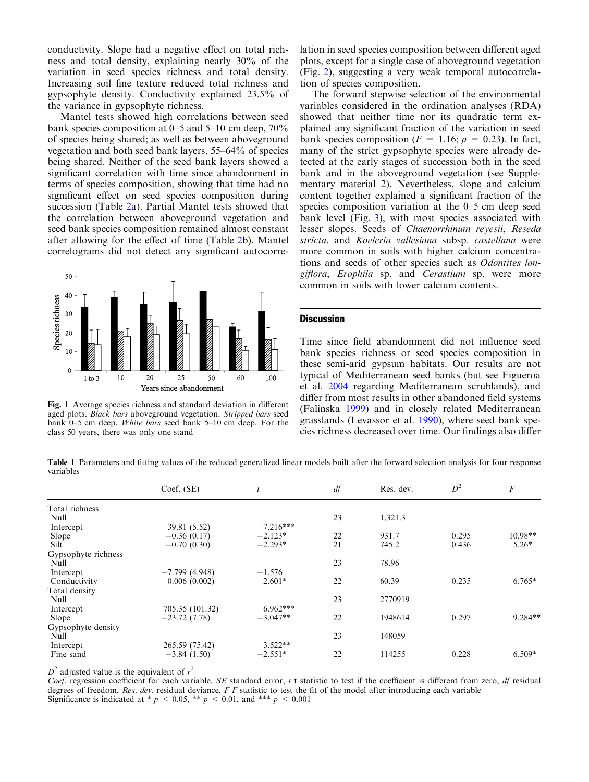<span id="page-4-0"></span>conductivity. Slope had a negative effect on total richness and total density, explaining nearly 30% of the variation in seed species richness and total density. Increasing soil fine texture reduced total richness and gypsophyte density. Conductivity explained 23.5% of the variance in gypsophyte richness.

Mantel tests showed high correlations between seed bank species composition at 0–5 and 5–10 cm deep, 70% of species being shared; as well as between aboveground vegetation and both seed bank layers, 55–64% of species being shared. Neither of the seed bank layers showed a significant correlation with time since abandonment in terms of species composition, showing that time had no significant effect on seed species composition during succession (Table [2a](#page-5-0)). Partial Mantel tests showed that the correlation between aboveground vegetation and seed bank species composition remained almost constant after allowing for the effect of time (Table [2](#page-5-0)b). Mantel correlograms did not detect any significant autocorre-



Fig. 1 Average species richness and standard deviation in different aged plots. Black bars aboveground vegetation. Stripped bars seed bank 0–5 cm deep. White bars seed bank 5–10 cm deep. For the class 50 years, there was only one stand

lation in seed species composition between different aged plots, except for a single case of aboveground vegetation (Fig. [2\)](#page-5-0), suggesting a very weak temporal autocorrelation of species composition.

The forward stepwise selection of the environmental variables considered in the ordination analyses (RDA) showed that neither time nor its quadratic term explained any significant fraction of the variation in seed bank species composition ( $F = 1.16$ ;  $p = 0.23$ ). In fact, many of the strict gypsophyte species were already detected at the early stages of succession both in the seed bank and in the aboveground vegetation (see Supplementary material 2). Nevertheless, slope and calcium content together explained a significant fraction of the species composition variation at the 0–5 cm deep seed bank level (Fig. [3\)](#page-6-0), with most species associated with lesser slopes. Seeds of Chaenorrhinum reyesii, Reseda stricta, and Koeleria vallesiana subsp. castellana were more common in soils with higher calcium concentrations and seeds of other species such as Odontites longiflora, Erophila sp. and Cerastium sp. were more common in soils with lower calcium contents.

### **Discussion**

Time since field abandonment did not influence seed bank species richness or seed species composition in these semi-arid gypsum habitats. Our results are not typical of Mediterranean seed banks (but see Figueroa et al. [2004](#page-7-0) regarding Mediterranean scrublands), and differ from most results in other abandoned field systems (Falinska [1999\)](#page-7-0) and in closely related Mediterranean grasslands (Levassor et al. [1990](#page-8-0)), where seed bank species richness decreased over time. Our findings also differ

Table 1 Parameters and fitting values of the reduced generalized linear models built after the forward selection analysis for four response variables

|                     | Coef. (SE)      |            | df | Res. dev. | $D^2$ | $\cal F$  |
|---------------------|-----------------|------------|----|-----------|-------|-----------|
| Total richness      |                 |            |    |           |       |           |
| Null                |                 |            | 23 | 1,321.3   |       |           |
| Intercept           | 39.81 (5.52)    | $7.216***$ |    |           |       |           |
| Slope               | $-0.36(0.17)$   | $-2.123*$  | 22 | 931.7     | 0.295 | $10.98**$ |
| Silt                | $-0.70(0.30)$   | $-2.293*$  | 21 | 745.2     | 0.436 | $5.26*$   |
| Gypsophyte richness |                 |            |    |           |       |           |
| Null                |                 |            | 23 | 78.96     |       |           |
| Intercept           | $-7.799(4.948)$ | $-1.576$   |    |           |       |           |
| Conductivity        | 0.006(0.002)    | $2.601*$   | 22 | 60.39     | 0.235 | $6.765*$  |
| Total density       |                 |            |    |           |       |           |
| Null                |                 |            | 23 | 2770919   |       |           |
| Intercept           | 705.35 (101.32) | $6.962***$ |    |           |       |           |
| Slope               | $-23.72(7.78)$  | $-3.047**$ | 22 | 1948614   | 0.297 | 9.284**   |
| Gypsophyte density  |                 |            |    |           |       |           |
| Null                |                 |            | 23 | 148059    |       |           |
| Intercept           | 265.59 (75.42)  | $3.522**$  |    |           |       |           |
| Fine sand           | $-3.84(1.50)$   | $-2.551*$  | 22 | 114255    | 0.228 | $6.509*$  |

 $D^2$  adjusted value is the equivalent of  $r^2$ 

Coef. regression coefficient for each variable, SE standard error,  $t$  t statistic to test if the coefficient is different from zero,  $df$  residual degrees of freedom, Res. dev. residual deviance,  $F F$  statistic to test the fit of the model after introducing each variable Significance is indicated at \*  $p \le 0.05$ , \*\*  $p \le 0.01$ , and \*\*\*  $p \le 0.001$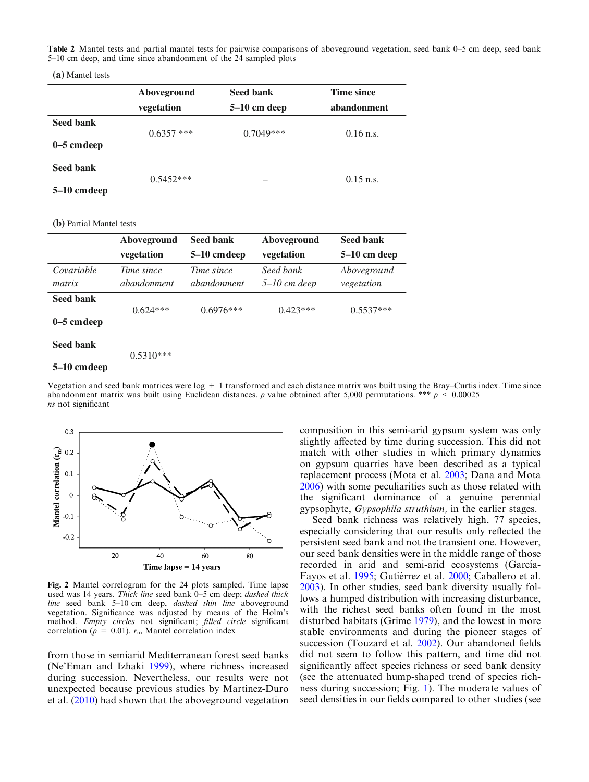<span id="page-5-0"></span>Table 2 Mantel tests and partial mantel tests for pairwise comparisons of aboveground vegetation, seed bank 0–5 cm deep, seed bank 5–10 cm deep, and time since abandonment of the 24 sampled plots

**(a)** Mantel tests

|                           | Aboveground<br>vegetation | Seed bank<br>$5-10$ cm deep | Time since<br>abandonment |
|---------------------------|---------------------------|-----------------------------|---------------------------|
| Seed bank<br>$0-5$ cmdeep | $0.6357$ ***              | $0.7049***$                 | $0.16$ n.s.               |
| Seed bank<br>5–10 cm deep | $0.5452***$               |                             | $0.15$ n.s.               |

**(b)** Partial Mantel tests

|                                  | Aboveground               | <b>Seed bank</b>                 | Aboveground               | <b>Seed bank</b>          |
|----------------------------------|---------------------------|----------------------------------|---------------------------|---------------------------|
|                                  | vegetation                | 5–10 cm deep                     | vegetation                | 5–10 cm deep              |
| Covariable<br>matrix             | Time since<br>abandonment | <i>Time since</i><br>abandonment | Seed bank<br>5–10 cm deep | Aboveground<br>vegetation |
| <b>Seed bank</b><br>$0-5$ cmdeep | $0.624***$                | $0.6976***$                      | $0.423***$                | $0.5537***$               |
| Seed bank                        | $0.5310***$               |                                  |                           |                           |

#### **5–10 cm deep**

Vegetation and seed bank matrices were  $log + 1$  transformed and each distance matrix was built using the Bray–Curtis index. Time since abandonment matrix was built using Euclidean distances. p value obtained after 5,000 permutations. \*\*\*  $p \leq 0.00025$ ns not significant



Fig. 2 Mantel correlogram for the 24 plots sampled. Time lapse used was 14 years. Thick line seed bank 0–5 cm deep; dashed thick line seed bank 5–10 cm deep, dashed thin line aboveground vegetation. Significance was adjusted by means of the Holm's method. Empty circles not significant; filled circle significant correlation ( $p = 0.01$ ).  $r<sub>m</sub>$  Mantel correlation index

from those in semiarid Mediterranean forest seed banks (Ne'Eman and Izhaki [1999](#page-8-0)), where richness increased during succession. Nevertheless, our results were not unexpected because previous studies by Martinez-Duro et al. [\(2010\)](#page-8-0) had shown that the aboveground vegetation

composition in this semi-arid gypsum system was only slightly affected by time during succession. This did not match with other studies in which primary dynamics on gypsum quarries have been described as a typical replacement process (Mota et al. [2003](#page-8-0); Dana and Mota [2006\)](#page-7-0) with some peculiarities such as those related with the significant dominance of a genuine perennial gypsophyte, Gypsophila struthium, in the earlier stages.

Seed bank richness was relatively high, 77 species, especially considering that our results only reflected the persistent seed bank and not the transient one. However, our seed bank densities were in the middle range of those recorded in arid and semi-arid ecosystems (García-Fayos et al. [1995](#page-7-0); Gutiérrez et al. [2000;](#page-7-0) Caballero et al. [2003\)](#page-7-0). In other studies, seed bank diversity usually follows a humped distribution with increasing disturbance, with the richest seed banks often found in the most disturbed habitats (Grime [1979\)](#page-7-0), and the lowest in more stable environments and during the pioneer stages of succession (Touzard et al. [2002\)](#page-8-0). Our abandoned fields did not seem to follow this pattern, and time did not significantly affect species richness or seed bank density (see the attenuated hump-shaped trend of species richness during succession; Fig. [1](#page-4-0)). The moderate values of seed densities in our fields compared to other studies (see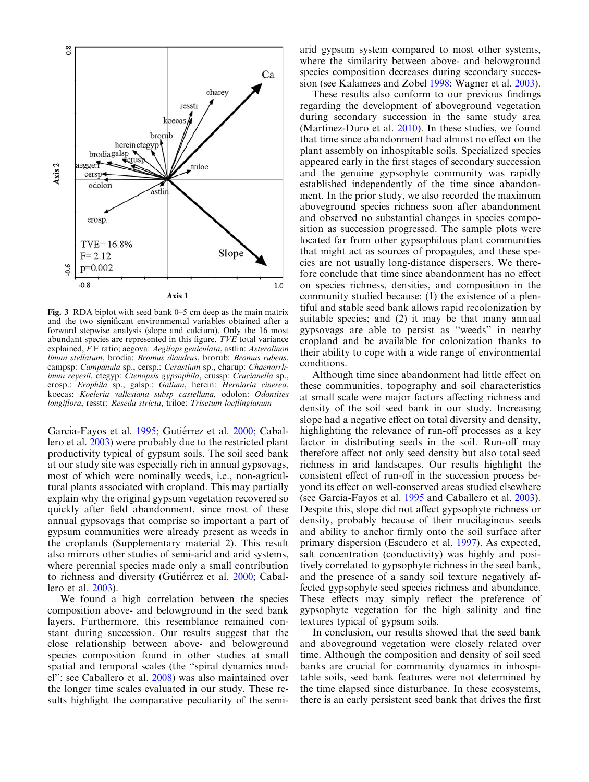<span id="page-6-0"></span>

Fig. 3 RDA biplot with seed bank 0–5 cm deep as the main matrix and the two significant environmental variables obtained after a forward stepwise analysis (slope and calcium). Only the 16 most abundant species are represented in this figure. TVE total variance explained, F F ratio; aegova: Aegilops geniculata, astlin: Asterolinon linum stellatum, brodia: Bromus diandrus, brorub: Bromus rubens, campsp: Campanula sp., cersp.: Cerastium sp., charup: Chaenorrhinum reyesii, ctegyp: Ctenopsis gypsophila, crussp: Crucianella sp., erosp.: Erophila sp., galsp.: Galium, hercin: Herniaria cinerea, koecas: Koeleria vallesiana subsp castellana, odolon: Odontites longiflora, resstr: Reseda stricta, triloe: Trisetum loeflingianum

García-Fayos et al. [1995;](#page-7-0) Gutiérrez et al. [2000](#page-7-0); Caballero et al. [2003](#page-7-0)) were probably due to the restricted plant productivity typical of gypsum soils. The soil seed bank at our study site was especially rich in annual gypsovags, most of which were nominally weeds, i.e., non-agricultural plants associated with cropland. This may partially explain why the original gypsum vegetation recovered so quickly after field abandonment, since most of these annual gypsovags that comprise so important a part of gypsum communities were already present as weeds in the croplands (Supplementary material 2). This result also mirrors other studies of semi-arid and arid systems, where perennial species made only a small contribution to richness and diversity (Gutiérrez et al. [2000](#page-7-0); Caballero et al. [2003\)](#page-7-0).

We found a high correlation between the species composition above- and belowground in the seed bank layers. Furthermore, this resemblance remained constant during succession. Our results suggest that the close relationship between above- and belowground species composition found in other studies at small spatial and temporal scales (the ''spiral dynamics model''; see Caballero et al. [2008](#page-7-0)) was also maintained over the longer time scales evaluated in our study. These results highlight the comparative peculiarity of the semiarid gypsum system compared to most other systems, where the similarity between above- and belowground species composition decreases during secondary succession (see Kalamees and Zobel [1998;](#page-7-0) Wagner et al. [2003\)](#page-8-0).

These results also conform to our previous findings regarding the development of aboveground vegetation during secondary succession in the same study area (Martinez-Duro et al. [2010](#page-8-0)). In these studies, we found that time since abandonment had almost no effect on the plant assembly on inhospitable soils. Specialized species appeared early in the first stages of secondary succession and the genuine gypsophyte community was rapidly established independently of the time since abandonment. In the prior study, we also recorded the maximum aboveground species richness soon after abandonment and observed no substantial changes in species composition as succession progressed. The sample plots were located far from other gypsophilous plant communities that might act as sources of propagules, and these species are not usually long-distance dispersers. We therefore conclude that time since abandonment has no effect on species richness, densities, and composition in the community studied because: (1) the existence of a plentiful and stable seed bank allows rapid recolonization by suitable species; and (2) it may be that many annual gypsovags are able to persist as ''weeds'' in nearby cropland and be available for colonization thanks to their ability to cope with a wide range of environmental conditions.

Although time since abandonment had little effect on these communities, topography and soil characteristics at small scale were major factors affecting richness and density of the soil seed bank in our study. Increasing slope had a negative effect on total diversity and density, highlighting the relevance of run-off processes as a key factor in distributing seeds in the soil. Run-off may therefore affect not only seed density but also total seed richness in arid landscapes. Our results highlight the consistent effect of run-off in the succession process beyond its effect on well-conserved areas studied elsewhere (see García-Fayos et al. [1995](#page-7-0) and Caballero et al. [2003\)](#page-7-0). Despite this, slope did not affect gypsophyte richness or density, probably because of their mucilaginous seeds and ability to anchor firmly onto the soil surface after primary dispersion (Escudero et al. [1997](#page-7-0)). As expected, salt concentration (conductivity) was highly and positively correlated to gypsophyte richness in the seed bank, and the presence of a sandy soil texture negatively affected gypsophyte seed species richness and abundance. These effects may simply reflect the preference of gypsophyte vegetation for the high salinity and fine textures typical of gypsum soils.

In conclusion, our results showed that the seed bank and aboveground vegetation were closely related over time. Although the composition and density of soil seed banks are crucial for community dynamics in inhospitable soils, seed bank features were not determined by the time elapsed since disturbance. In these ecosystems, there is an early persistent seed bank that drives the first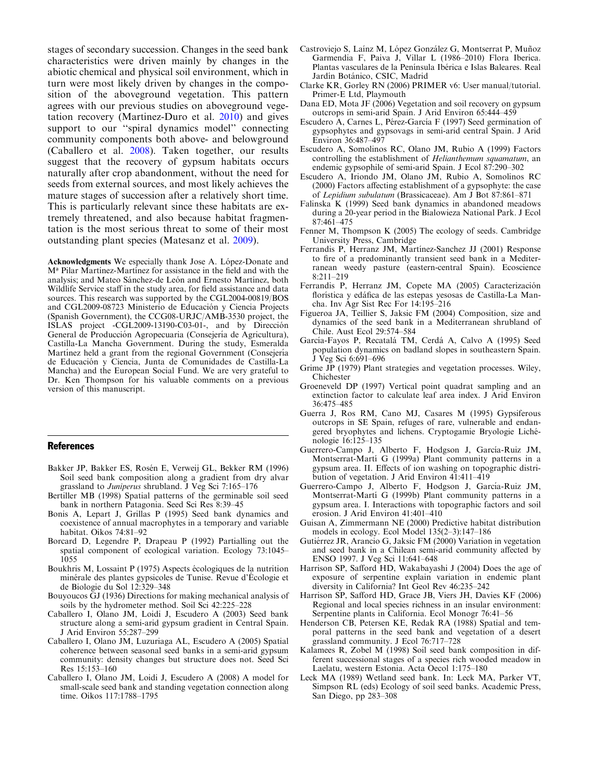<span id="page-7-0"></span>stages of secondary succession. Changes in the seed bank characteristics were driven mainly by changes in the abiotic chemical and physical soil environment, which in turn were most likely driven by changes in the composition of the aboveground vegetation. This pattern agrees with our previous studies on aboveground vegetation recovery (Martinez-Duro et al. [2010](#page-8-0)) and gives support to our ''spiral dynamics model'' connecting community components both above- and belowground (Caballero et al. 2008). Taken together, our results suggest that the recovery of gypsum habitats occurs naturally after crop abandonment, without the need for seeds from external sources, and most likely achieves the mature stages of succession after a relatively short time. This is particularly relevant since these habitats are extremely threatened, and also because habitat fragmentation is the most serious threat to some of their most outstanding plant species (Matesanz et al. [2009\)](#page-8-0).

Acknowledgments We especially thank Jose A. López-Donate and M<sup>ª</sup> Pilar Martínez-Martínez for assistance in the field and with the analysis; and Mateo Sánchez-de León and Ernesto Martínez, both Wildlife Service staff in the study area, for field assistance and data sources. This research was supported by the CGL2004-00819/BOS and CGL2009-08723 Ministerio de Educación y Ciencia Projects (Spanish Government), the CCG08-URJC/AMB-3530 project, the ISLAS project  $-CGL2009-13190-C03-01$ -, and by Dirección General de Producción Agropecuaria (Consejería de Agricultura), Castilla-La Mancha Government. During the study, Esmeralda Martínez held a grant from the regional Government (Consejería) de Educación y Ciencia, Junta de Comunidades de Castilla-La Mancha) and the European Social Fund. We are very grateful to Dr. Ken Thompson for his valuable comments on a previous version of this manuscript.

#### References

- Bakker JP, Bakker ES, Rosén E, Verweij GL, Bekker RM (1996) Soil seed bank composition along a gradient from dry alvar grassland to Juniperus shrubland. J Veg Sci 7:165–176
- Bertiller MB (1998) Spatial patterns of the germinable soil seed bank in northern Patagonia. Seed Sci Res 8:39–45
- Bonis A, Lepart J, Grillas P (1995) Seed bank dynamics and coexistence of annual macrophytes in a temporary and variable habitat. Oikos 74:81–92
- Borcard D, Legendre P, Drapeau P (1992) Partialling out the spatial component of ecological variation. Ecology 73:1045– 1055
- Boukhris M, Lossaint P (1975) Aspects écologiques de la nutrition minérale des plantes gypsicoles de Tunise. Revue d'Écologie et de Biologie du Sol 12:329–348
- Bouyoucos GJ (1936) Directions for making mechanical analysis of soils by the hydrometer method. Soil Sci 42:225–228
- Caballero I, Olano JM, Loidi J, Escudero A (2003) Seed bank structure along a semi-arid gypsum gradient in Central Spain. J Arid Environ 55:287–299
- Caballero I, Olano JM, Luzuriaga AL, Escudero A (2005) Spatial coherence between seasonal seed banks in a semi-arid gypsum community: density changes but structure does not. Seed Sci Res 15:153–160
- Caballero I, Olano JM, Loidi J, Escudero A (2008) A model for small-scale seed bank and standing vegetation connection along time. Oikos 117:1788–1795
- Castroviejo S, Laínz M, López González G, Montserrat P, Muñoz Garmendia F, Paiva J, Villar L (1986–2010) Flora Iberica. Plantas vasculares de la Península Ibérica e Islas Baleares. Real Jardín Botánico, CSIC, Madrid
- Clarke KR, Gorley RN (2006) PRIMER v6: User manual/tutorial. Primer-E Ltd, Playmouth
- Dana ED, Mota JF (2006) Vegetation and soil recovery on gypsum outcrops in semi-arid Spain. J Arid Environ 65:444–459
- Escudero A, Carnes L, Pérez-García F (1997) Seed germination of gypsophytes and gypsovags in semi-arid central Spain. J Arid Environ 36:487–497
- Escudero A, Somolinos RC, Olano JM, Rubio A (1999) Factors controlling the establishment of *Helianthemum squamatum*, an endemic gypsophile of semi-arid Spain. J Ecol 87:290–302
- Escudero A, Iriondo JM, Olano JM, Rubio A, Somolinos RC (2000) Factors affecting establishment of a gypsophyte: the case of Lepidium subulatum (Brassicaceae). Am J Bot 87:861–871
- Falinska K (1999) Seed bank dynamics in abandoned meadows during a 20-year period in the Bialowieza National Park. J Ecol 87:461–475
- Fenner M, Thompson K (2005) The ecology of seeds. Cambridge University Press, Cambridge
- Ferrandis P, Herranz JM, Martínez-Sanchez JJ (2001) Response to fire of a predominantly transient seed bank in a Mediterranean weedy pasture (eastern-central Spain). Ecoscience 8:211–219
- Ferrandis P, Herranz JM, Copete MA (2005) Caracterización florística y edáfica de las estepas yesosas de Castilla-La Mancha. Inv Agr Sist Rec For 14:195–216
- Figueroa JA, Teillier S, Jaksic FM (2004) Composition, size and dynamics of the seed bank in a Mediterranean shrubland of Chile. Aust Ecol 29:574–584
- García-Fayos P, Recatalá TM, Cerdá A, Calvo A (1995) Seed population dynamics on badland slopes in southeastern Spain. J Veg Sci 6:691–696
- Grime JP (1979) Plant strategies and vegetation processes. Wiley, Chichester
- Groeneveld DP (1997) Vertical point quadrat sampling and an extinction factor to calculate leaf area index. J Arid Environ 36:475–485
- Guerra J, Ros RM, Cano MJ, Casares M (1995) Gypsiferous outcrops in SE Spain, refuges of rare, vulnerable and endangered bryophytes and lichens. Cryptogamie Bryologie Lichénologie 16:125–135
- Guerrero-Campo J, Alberto F, Hodgson J, García-Ruiz JM, Montserrat-Martí G (1999a) Plant community patterns in a gypsum area. II. Effects of ion washing on topographic distribution of vegetation. J Arid Environ 41:411–419
- Guerrero-Campo J, Alberto F, Hodgson J, García-Ruiz JM, Montserrat-Martí G (1999b) Plant community patterns in a gypsum area. I. Interactions with topographic factors and soil erosion. J Arid Environ 41:401–410
- Guisan A, Zimmermann NE (2000) Predictive habitat distribution models in ecology. Ecol Model 135(2–3):147–186
- Gutiérrez JR, Arancio G, Jaksic FM (2000) Variation in vegetation and seed bank in a Chilean semi-arid community affected by ENSO 1997. J Veg Sci 11:641–648
- Harrison SP, Safford HD, Wakabayashi J (2004) Does the age of exposure of serpentine explain variation in endemic plant diversity in California? Int Geol Rev 46:235–242
- Harrison SP, Safford HD, Grace JB, Viers JH, Davies KF (2006) Regional and local species richness in an insular environment: Serpentine plants in California. Ecol Monogr 76:41–56
- Henderson CB, Petersen KE, Redak RA (1988) Spatial and temporal patterns in the seed bank and vegetation of a desert grassland community. J Ecol 76:717–728
- Kalamees R, Zobel M (1998) Soil seed bank composition in different successional stages of a species rich wooded meadow in Laelatu, western Estonia. Acta Oecol 1:175–180
- Leck MA (1989) Wetland seed bank. In: Leck MA, Parker VT, Simpson RL (eds) Ecology of soil seed banks. Academic Press, San Diego, pp 283–308